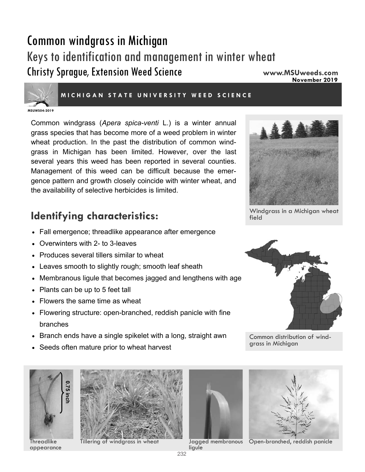# Common windgrass in Michigan Keys to identification and management in winter wheat Christy Sprague, Extension Weed Science **www.MSUweeds.com**

**November 2019** 



#### **MICHIGAN STATE UNIVERSITY WEED SCIENCE**

**MSUWS04-2019** 

Common windgrass (*Apera spica-venti* L.) is a winter annual grass species that has become more of a weed problem in winter wheat production. In the past the distribution of common windgrass in Michigan has been limited. However, over the last several years this weed has been reported in several counties. Management of this weed can be difficult because the emergence pattern and growth closely coincide with winter wheat, and the availability of selective herbicides is limited.

# **Identifying characteristics: IDENTIFY** Windgrass in a Michigan wheat **I**

- Fall emergence; threadlike appearance after emergence
- Overwinters with 2- to 3-leaves
- Produces several tillers similar to wheat
- Leaves smooth to slightly rough; smooth leaf sheath
- Membranous ligule that becomes jagged and lengthens with age
- Plants can be up to 5 feet tall
- Flowers the same time as wheat
- Flowering structure: open-branched, reddish panicle with fine branches
- Branch ends have a single spikelet with a long, straight awn
- Seeds often mature prior to wheat harvest



**Threadlike** appearance





ligule





Common distribution of windgrass in Michigan



Tillering of windgrass in wheat Jagged membranous Open-branched, reddish panicle